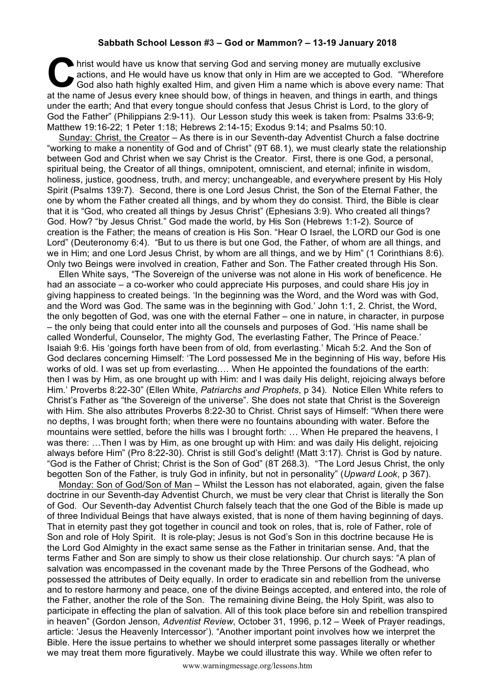## **Sabbath School Lesson #3 – God or Mammon? – 13-19 January 2018**

hrist would have us know that serving God and serving money are mutually exclusive actions, and He would have us know that only in Him are we accepted to God. "Where God also hath highly exalted Him, and given Him a name w actions, and He would have us know that only in Him are we accepted to God. "Wherefore God also hath highly exalted Him, and given Him a name which is above every name: That at the name of Jesus every knee should bow, of things in heaven, and things in earth, and things under the earth; And that every tongue should confess that Jesus Christ is Lord, to the glory of God the Father" (Philippians 2:9-11). Our Lesson study this week is taken from: Psalms 33:6-9; Matthew 19:16-22; 1 Peter 1:18; Hebrews 2:14-15; Exodus 9:14; and Psalms 50:10.

Sunday: Christ, the Creator – As there is in our Seventh-day Adventist Church a false doctrine "working to make a nonentity of God and of Christ" (9T 68.1), we must clearly state the relationship between God and Christ when we say Christ is the Creator. First, there is one God, a personal, spiritual being, the Creator of all things, omnipotent, omniscient, and eternal; infinite in wisdom, holiness, justice, goodness, truth, and mercy; unchangeable, and everywhere present by His Holy Spirit (Psalms 139:7). Second, there is one Lord Jesus Christ, the Son of the Eternal Father, the one by whom the Father created all things, and by whom they do consist. Third, the Bible is clear that it is "God, who created all things by Jesus Christ" (Ephesians 3:9). Who created all things? God. How? "by Jesus Christ." God made the world, by His Son (Hebrews 1:1-2). Source of creation is the Father; the means of creation is His Son. "Hear O Israel, the LORD our God is one Lord" (Deuteronomy 6:4). "But to us there is but one God, the Father, of whom are all things, and we in Him; and one Lord Jesus Christ, by whom are all things, and we by Him" (1 Corinthians 8:6). Only two Beings were involved in creation, Father and Son. The Father created through His Son.

Ellen White says, "The Sovereign of the universe was not alone in His work of beneficence. He had an associate – a co-worker who could appreciate His purposes, and could share His joy in giving happiness to created beings. 'In the beginning was the Word, and the Word was with God, and the Word was God. The same was in the beginning with God.' John 1:1, 2. Christ, the Word, the only begotten of God, was one with the eternal Father – one in nature, in character, in purpose – the only being that could enter into all the counsels and purposes of God. 'His name shall be called Wonderful, Counselor, The mighty God, The everlasting Father, The Prince of Peace.' Isaiah 9:6. His 'goings forth have been from of old, from everlasting.' Micah 5:2. And the Son of God declares concerning Himself: 'The Lord possessed Me in the beginning of His way, before His works of old. I was set up from everlasting.… When He appointed the foundations of the earth: then I was by Him, as one brought up with Him: and I was daily His delight, rejoicing always before Him.' Proverbs 8:22-30" (Ellen White, *Patriarchs and Prophets*, p 34). Notice Ellen White refers to Christ's Father as "the Sovereign of the universe". She does not state that Christ is the Sovereign with Him. She also attributes Proverbs 8:22-30 to Christ. Christ says of Himself: "When there were no depths, I was brought forth; when there were no fountains abounding with water. Before the mountains were settled, before the hills was I brought forth: … When He prepared the heavens, I was there: …Then I was by Him, as one brought up with Him: and was daily His delight, rejoicing always before Him" (Pro 8:22-30). Christ is still God's delight! (Matt 3:17). Christ is God by nature. "God is the Father of Christ; Christ is the Son of God" (8T 268.3). "The Lord Jesus Christ, the only begotten Son of the Father, is truly God in infinity, but not in personality" (*Upward Look*, p 367).

Monday: Son of God/Son of Man – Whilst the Lesson has not elaborated, again, given the false doctrine in our Seventh-day Adventist Church, we must be very clear that Christ is literally the Son of God. Our Seventh-day Adventist Church falsely teach that the one God of the Bible is made up of three Individual Beings that have always existed, that is none of them having beginning of days. That in eternity past they got together in council and took on roles, that is, role of Father, role of Son and role of Holy Spirit. It is role-play; Jesus is not God's Son in this doctrine because He is the Lord God Almighty in the exact same sense as the Father in trinitarian sense. And, that the terms Father and Son are simply to show us their close relationship. Our church says: "A plan of salvation was encompassed in the covenant made by the Three Persons of the Godhead, who possessed the attributes of Deity equally. In order to eradicate sin and rebellion from the universe and to restore harmony and peace, one of the divine Beings accepted, and entered into, the role of the Father, another the role of the Son. The remaining divine Being, the Holy Spirit, was also to participate in effecting the plan of salvation. All of this took place before sin and rebellion transpired in heaven" (Gordon Jenson, *Adventist Review*, October 31, 1996, p.12 – Week of Prayer readings, article: 'Jesus the Heavenly Intercessor'). "Another important point involves how we interpret the Bible. Here the issue pertains to whether we should interpret some passages literally or whether we may treat them more figuratively. Maybe we could illustrate this way. While we often refer to